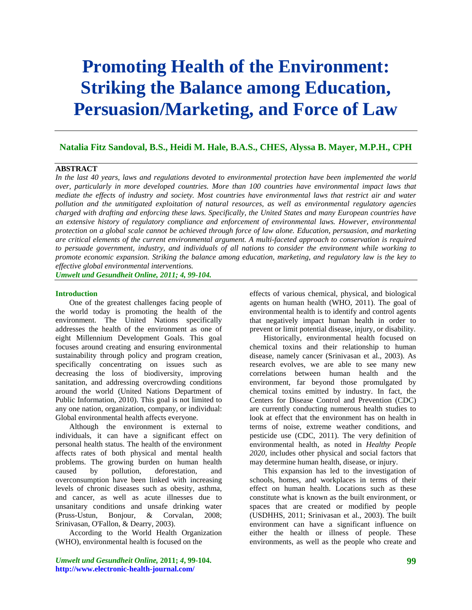# **Promoting Health of the Environment: Striking the Balance among Education, Persuasion/Marketing, and Force of Law**

# **Natalia Fitz Sandoval, B.S., Heidi M. Hale, B.A.S., CHES, Alyssa B. Mayer, M.P.H., CPH**

### **ABSTRACT**

*In the last 40 years, laws and regulations devoted to environmental protection have been implemented the world over, particularly in more developed countries. More than 100 countries have environmental impact laws that mediate the effects of industry and society. Most countries have environmental laws that restrict air and water pollution and the unmitigated exploitation of natural resources, as well as environmental regulatory agencies charged with drafting and enforcing these laws. Specifically, the United States and many European countries have an extensive history of regulatory compliance and enforcement of environmental laws. However, environmental protection on a global scale cannot be achieved through force of law alone. Education, persuasion, and marketing are critical elements of the current environmental argument. A multi-faceted approach to conservation is required to persuade government, industry, and individuals of all nations to consider the environment while working to promote economic expansion. Striking the balance among education, marketing, and regulatory law is the key to effective global environmental interventions.* 

*Umwelt und Gesundheit Online, 2011; 4, 99-104.* 

#### **Introduction**

One of the greatest challenges facing people of the world today is promoting the health of the environment. The United Nations specifically addresses the health of the environment as one of eight Millennium Development Goals. This goal focuses around creating and ensuring environmental sustainability through policy and program creation, specifically concentrating on issues such as decreasing the loss of biodiversity, improving sanitation, and addressing overcrowding conditions around the world (United Nations Department of Public Information, 2010). This goal is not limited to any one nation, organization, company, or individual: Global environmental health affects everyone.

Although the environment is external to individuals, it can have a significant effect on personal health status. The health of the environment affects rates of both physical and mental health problems. The growing burden on human health caused by pollution, deforestation, and overconsumption have been linked with increasing levels of chronic diseases such as obesity, asthma, and cancer, as well as acute illnesses due to unsanitary conditions and unsafe drinking water (Pruss-Ustun, Bonjour, & Corvalan, 2008; Srinivasan, O'Fallon, & Dearry, 2003).

According to the World Health Organization (WHO), environmental health is focused on the

*Umwelt und Gesundheit Online,* **2011;** *4***, 99-104. http://www.electronic-health-journal.com/** 

effects of various chemical, physical, and biological agents on human health (WHO, 2011). The goal of environmental health is to identify and control agents that negatively impact human health in order to prevent or limit potential disease, injury, or disability.

Historically, environmental health focused on chemical toxins and their relationship to human disease, namely cancer (Srinivasan et al., 2003). As research evolves, we are able to see many new correlations between human health and the environment, far beyond those promulgated by chemical toxins emitted by industry. In fact, the Centers for Disease Control and Prevention (CDC) are currently conducting numerous health studies to look at effect that the environment has on health in terms of noise, extreme weather conditions, and pesticide use (CDC, 2011). The very definition of environmental health, as noted in *Healthy People 2020*, includes other physical and social factors that may determine human health, disease, or injury.

This expansion has led to the investigation of schools, homes, and workplaces in terms of their effect on human health. Locations such as these constitute what is known as the built environment, or spaces that are created or modified by people (USDHHS, 2011; Srinivasan et al., 2003). The built environment can have a significant influence on either the health or illness of people. These environments, as well as the people who create and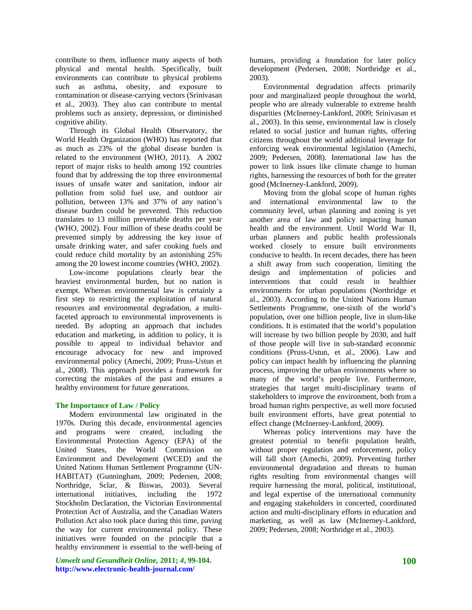contribute to them, influence many aspects of both physical and mental health. Specifically, built environments can contribute to physical problems such as asthma, obesity, and exposure to contamination or disease-carrying vectors (Srinivasan et al., 2003). They also can contribute to mental problems such as anxiety, depression, or diminished cognitive ability.

Through its Global Health Observatory, the World Health Organization (WHO) has reported that as much as 23% of the global disease burden is related to the environment (WHO, 2011). A 2002 report of major risks to health among 192 countries found that by addressing the top three environmental issues of unsafe water and sanitation, indoor air pollution from solid fuel use, and outdoor air pollution, between 13% and 37% of any nation's disease burden could be prevented. This reduction translates to 13 million preventable deaths per year (WHO, 2002). Four million of these deaths could be prevented simply by addressing the key issue of unsafe drinking water, and safer cooking fuels and could reduce child mortality by an astonishing 25% among the 20 lowest income countries (WHO, 2002).

Low-income populations clearly bear the heaviest environmental burden, but no nation is exempt. Whereas environmental law is certainly a first step to restricting the exploitation of natural resources and environmental degradation, a multifaceted approach to environmental improvements is needed. By adopting an approach that includes education and marketing, in addition to policy, it is possible to appeal to individual behavior and encourage advocacy for new and improved environmental policy (Amechi, 2009; Pruss-Ustun et al., 2008). This approach provides a framework for correcting the mistakes of the past and ensures a healthy environment for future generations.

#### **The Importance of Law / Policy**

Modern environmental law originated in the 1970s. During this decade, environmental agencies and programs were created, including the Environmental Protection Agency (EPA) of the United States, the World Commission on Environment and Development (WCED) and the United Nations Human Settlement Programme (UN-HABITAT) (Gunningham, 2009; Pedersen, 2008; Northridge, Sclar, & Biswas, 2003). Several international initiatives, including the 1972 Stockholm Declaration, the Victorian Environmental Protection Act of Australia, and the Canadian Waters Pollution Act also took place during this time, paving the way for current environmental policy. These initiatives were founded on the principle that a healthy environment is essential to the well-being of

*Umwelt und Gesundheit Online,* **2011;** *4***, 99-104. http://www.electronic-health-journal.com/** 

humans, providing a foundation for later policy development (Pedersen, 2008; Northridge et al., 2003).

Environmental degradation affects primarily poor and marginalized people throughout the world, people who are already vulnerable to extreme health disparities (McInerney-Lankford, 2009; Srinivasan et al., 2003). In this sense, environmental law is closely related to social justice and human rights, offering citizens throughout the world additional leverage for enforcing weak environmental legislation (Amechi, 2009; Pedersen, 2008). International law has the power to link issues like climate change to human rights, harnessing the resources of both for the greater good (McInerney-Lankford, 2009).

Moving from the global scope of human rights and international environmental law to the community level, urban planning and zoning is yet another area of law and policy impacting human health and the environment. Until World War II, urban planners and public health professionals worked closely to ensure built environments conducive to health. In recent decades, there has been a shift away from such cooperation, limiting the design and implementation of policies and interventions that could result in healthier environments for urban populations (Northridge et al., 2003). According to the United Nations Human Settlements Programme, one-sixth of the world's population, over one billion people, live in slum-like conditions. It is estimated that the world's population will increase by two billion people by 2030, and half of those people will live in sub-standard economic conditions (Pruss-Ustun, et al., 2006). Law and policy can impact health by influencing the planning process, improving the urban environments where so many of the world's people live. Furthermore, strategies that target multi-disciplinary teams of stakeholders to improve the environment, both from a broad human rights perspective, as well more focused built environment efforts, have great potential to effect change (McInerney-Lankford, 2009).

Whereas policy interventions may have the greatest potential to benefit population health, without proper regulation and enforcement, policy will fall short (Amechi, 2009). Preventing further environmental degradation and threats to human rights resulting from environmental changes will require harnessing the moral, political, institutional, and legal expertise of the international community and engaging stakeholders in concerted, coordinated action and multi-disciplinary efforts in education and marketing, as well as law (McInerney-Lankford, 2009; Pedersen, 2008; Northridge et al., 2003).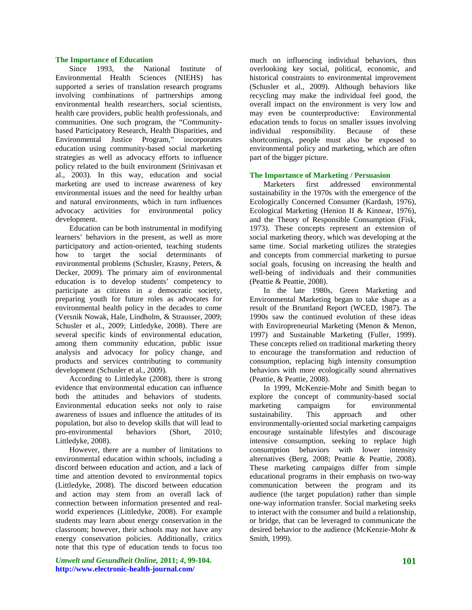#### **The Importance of Education**

Since 1993, the National Institute of Environmental Health Sciences (NIEHS) has supported a series of translation research programs involving combinations of partnerships among environmental health researchers, social scientists, health care providers, public health professionals, and communities. One such program, the "Communitybased Participatory Research, Health Disparities, and Environmental Justice Program," incorporates education using community-based social marketing strategies as well as advocacy efforts to influence policy related to the built environment (Srinivasan et al., 2003). In this way, education and social marketing are used to increase awareness of key environmental issues and the need for healthy urban and natural environments, which in turn influences advocacy activities for environmental policy development.

Education can be both instrumental in modifying learners' behaviors in the present, as well as more participatory and action-oriented, teaching students how to target the social determinants of environmental problems (Schusler, Krasny, Peters, & Decker, 2009). The primary aim of environmental education is to develop students' competency to participate as citizens in a democratic society, preparing youth for future roles as advocates for environmental health policy in the decades to come (Versnik Nowak, Hale, Lindholm, & Strausser, 2009; Schusler et al., 2009; Littledyke, 2008). There are several specific kinds of environmental education, among them community education, public issue analysis and advocacy for policy change, and products and services contributing to community development (Schusler et al., 2009).

According to Littledyke (2008), there is strong evidence that environmental education can influence both the attitudes and behaviors of students. Environmental education seeks not only to raise awareness of issues and influence the attitudes of its population, but also to develop skills that will lead to pro-environmental behaviors (Short, 2010; Littledyke, 2008).

However, there are a number of limitations to environmental education within schools, including a discord between education and action, and a lack of time and attention devoted to environmental topics (Littledyke, 2008). The discord between education and action may stem from an overall lack of connection between information presented and realworld experiences (Littledyke, 2008). For example students may learn about energy conservation in the classroom; however, their schools may not have any energy conservation policies. Additionally, critics note that this type of education tends to focus too

*Umwelt und Gesundheit Online,* **2011;** *4***, 99-104. http://www.electronic-health-journal.com/** 

much on influencing individual behaviors, thus overlooking key social, political, economic, and historical constraints to environmental improvement (Schusler et al., 2009). Although behaviors like recycling may make the individual feel good, the overall impact on the environment is very low and may even be counterproductive: Environmental education tends to focus on smaller issues involving individual responsibility. Because of these shortcomings, people must also be exposed to environmental policy and marketing, which are often part of the bigger picture.

#### **The Importance of Marketing / Persuasion**

Marketers first addressed environmental sustainability in the 1970s with the emergence of the Ecologically Concerned Consumer (Kardash, 1976), Ecological Marketing (Henion II & Kinnear, 1976), and the Theory of Responsible Consumption (Fisk, 1973). These concepts represent an extension of social marketing theory, which was developing at the same time. Social marketing utilizes the strategies and concepts from commercial marketing to pursue social goals, focusing on increasing the health and well-being of individuals and their communities (Peattie & Peattie, 2008).

In the late 1980s, Green Marketing and Environmental Marketing began to take shape as a result of the Bruntland Report (WCED, 1987). The 1990s saw the continued evolution of these ideas with Enviropreneurial Marketing (Menon & Menon, 1997) and Sustainable Marketing (Fuller, 1999). These concepts relied on traditional marketing theory to encourage the transformation and reduction of consumption, replacing high intensity consumption behaviors with more ecologically sound alternatives (Peattie, & Peattie, 2008).

In 1999, McKenzie-Mohr and Smith began to explore the concept of community-based social marketing campaigns for environmental sustainability. This approach and other environmentally-oriented social marketing campaigns encourage sustainable lifestyles and discourage intensive consumption, seeking to replace high consumption behaviors with lower intensity alternatives (Berg, 2008; Peattie & Peattie, 2008). These marketing campaigns differ from simple educational programs in their emphasis on two-way communication between the program and its audience (the target population) rather than simple one-way information transfer. Social marketing seeks to interact with the consumer and build a relationship, or bridge, that can be leveraged to communicate the desired behavior to the audience (McKenzie-Mohr & Smith, 1999).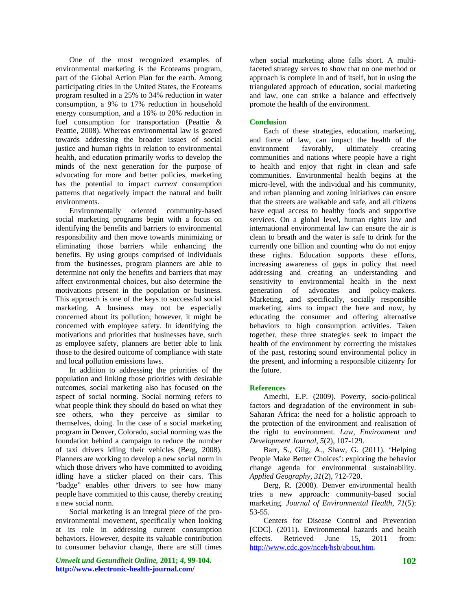One of the most recognized examples of environmental marketing is the Ecoteams program, part of the Global Action Plan for the earth. Among participating cities in the United States, the Ecoteams program resulted in a 25% to 34% reduction in water consumption, a 9% to 17% reduction in household energy consumption, and a 16% to 20% reduction in fuel consumption for transportation (Peattie & Peattie, 2008). Whereas environmental law is geared towards addressing the broader issues of social justice and human rights in relation to environmental health, and education primarily works to develop the minds of the next generation for the purpose of advocating for more and better policies, marketing has the potential to impact *current* consumption patterns that negatively impact the natural and built environments.

Environmentally oriented community-based social marketing programs begin with a focus on identifying the benefits and barriers to environmental responsibility and then move towards minimizing or eliminating those barriers while enhancing the benefits. By using groups comprised of individuals from the businesses, program planners are able to determine not only the benefits and barriers that may affect environmental choices, but also determine the motivations present in the population or business. This approach is one of the keys to successful social marketing. A business may not be especially concerned about its pollution; however, it might be concerned with employee safety. In identifying the motivations and priorities that businesses have, such as employee safety, planners are better able to link those to the desired outcome of compliance with state and local pollution emissions laws.

In addition to addressing the priorities of the population and linking those priorities with desirable outcomes, social marketing also has focused on the aspect of social norming. Social norming refers to what people think they should do based on what they see others, who they perceive as similar to themselves, doing. In the case of a social marketing program in Denver, Colorado, social norming was the foundation behind a campaign to reduce the number of taxi drivers idling their vehicles (Berg, 2008). Planners are working to develop a new social norm in which those drivers who have committed to avoiding idling have a sticker placed on their cars. This "badge" enables other drivers to see how many people have committed to this cause, thereby creating a new social norm.

Social marketing is an integral piece of the proenvironmental movement, specifically when looking at its role in addressing current consumption behaviors. However, despite its valuable contribution to consumer behavior change, there are still times

*Umwelt und Gesundheit Online,* **2011;** *4***, 99-104. http://www.electronic-health-journal.com/** 

when social marketing alone falls short. A multifaceted strategy serves to show that no one method or approach is complete in and of itself, but in using the triangulated approach of education, social marketing and law, one can strike a balance and effectively promote the health of the environment.

## **Conclusion**

Each of these strategies, education, marketing, and force of law, can impact the health of the environment favorably, ultimately creating communities and nations where people have a right to health and enjoy that right in clean and safe communities. Environmental health begins at the micro-level, with the individual and his community, and urban planning and zoning initiatives can ensure that the streets are walkable and safe, and all citizens have equal access to healthy foods and supportive services. On a global level, human rights law and international environmental law can ensure the air is clean to breath and the water is safe to drink for the currently one billion and counting who do not enjoy these rights. Education supports these efforts, increasing awareness of gaps in policy that need addressing and creating an understanding and sensitivity to environmental health in the next generation of advocates and policy-makers. Marketing, and specifically, socially responsible marketing, aims to impact the here and now, by educating the consumer and offering alternative behaviors to high consumption activities. Taken together, these three strategies seek to impact the health of the environment by correcting the mistakes of the past, restoring sound environmental policy in the present, and informing a responsible citizenry for the future.

# **References**

Amechi, E.P. (2009). Poverty, socio-political factors and degradation of the environment in sub-Saharan Africa: the need for a holistic approach to the protection of the environment and realisation of the right to environment. *Law, Environment and Development Journal, 5*(2), 107-129.

Barr, S., Gilg, A., Shaw, G. (2011). 'Helping People Make Better Choices': exploring the behavior change agenda for environmental sustainability. *Applied Geography*, *31*(2), 712-720.

Berg, R. (2008). Denver environmental health tries a new approach: community-based social marketing. *Journal of Environmental Health*, *71*(5): 53-55.

Centers for Disease Control and Prevention [CDC]. (2011). Environmental hazards and health effects. Retrieved June 15, 2011 from: [http://www.cdc.gov/nceh/hsb/about.htm.](http://www.cdc.gov/nceh/hsb/about.htm)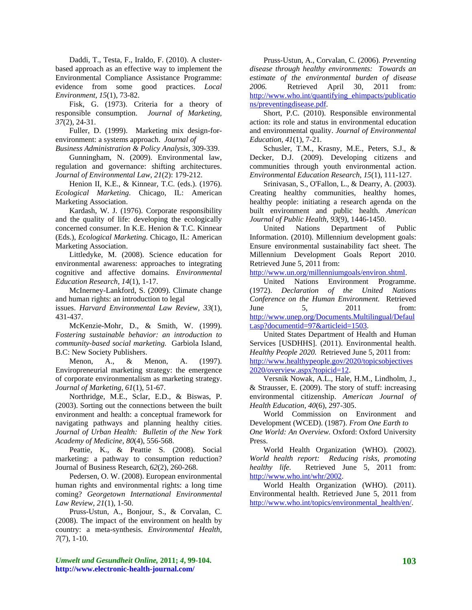Daddi, T., Testa, F., Iraldo, F. (2010). A clusterbased approach as an effective way to implement the Environmental Compliance Assistance Programme: evidence from some good practices. *Local Environment, 15*(1), 73-82.

Fisk, G. (1973). Criteria for a theory of responsible consumption. *Journal of Marketing, 37*(2), 24-31.

Fuller, D. (1999). Marketing mix design-forenvironment: a systems approach. *Journal of* 

*Business Administration & Policy Analysis,* 309-339.

Gunningham, N. (2009). Environmental law, regulation and governance: shifting architectures. *Journal of Environmental Law*, *21*(2): 179-212.

Henion II, K.E., & Kinnear, T.C. (eds.). (1976). *Ecological Marketing*. Chicago, IL: American Marketing Association.

Kardash, W. J. (1976). Corporate responsibility and the quality of life: developing the ecologically concerned consumer. In K.E. Henion & T.C. Kinnear (Eds.), *Ecological Marketing.* Chicago, IL: American Marketing Association.

Littledyke, M. (2008). Science education for environmental awareness: approaches to integrating cognitive and affective domains. *Environmental Education Research, 14*(1), 1-17.

McInerney-Lankford, S. (2009). Climate change and human rights: an introduction to legal

issues. *Harvard Environmental Law Review, 33*(1), 431-437.

McKenzie-Mohr, D., & Smith, W. (1999). *Fostering sustainable behavior: an introduction to community-based social marketing.* Garbiola Island, B.C: New Society Publishers.

Menon, A., & Menon, A. (1997). Enviropreneurial marketing strategy: the emergence of corporate environmentalism as marketing strategy. *Journal of Marketing, 61*(1), 51-67.

Northridge, M.E., Sclar, E.D., & Biswas, P. (2003). Sorting out the connections between the built environment and health: a conceptual framework for navigating pathways and planning healthy cities. *Journal of Urban Health: Bulletin of the New York Academy of Medicine, 80*(4), 556-568.

Peattie, K., & Peattie S. (2008). Social marketing: a pathway to consumption reduction? Journal of Business Research, *62*(2), 260-268.

Pedersen, O. W. (2008). European environmental human rights and environmental rights: a long time coming? *Georgetown International Environmental Law Review, 21*(1), 1-50.

Pruss-Ustun, A., Bonjour, S., & Corvalan, C. (2008). The impact of the environment on health by country: a meta-synthesis. *Environmental Health, 7*(7), 1-10.

*Umwelt und Gesundheit Online,* **2011;** *4***, 99-104. http://www.electronic-health-journal.com/** 

Pruss-Ustun, A., Corvalan, C. (2006). *Preventing disease through healthy environments: Towards an estimate of the environmental burden of disease 2006.* Retrieved April 30, 2011 from: [http://www.who.int/quantifying\\_ehimpacts/publicatio](http://www.who.int/quantifying_ehimpacts/publications/preventingdisease.pdf) [ns/preventingdisease.pdf](http://www.who.int/quantifying_ehimpacts/publications/preventingdisease.pdf).

Short, P.C. (2010). Responsible environmental action: its role and status in environmental education and environmental quality. *Journal of Environmental Education, 41*(1), 7-21.

Schusler, T.M., Krasny, M.E., Peters, S.J., & Decker, D.J. (2009). Developing citizens and communities through youth environmental action. *Environmental Education Research, 15*(1), 111-127.

Srinivasan, S., O'Fallon, L., & Dearry, A. (2003). Creating healthy communities, healthy homes, healthy people: initiating a research agenda on the built environment and public health. *American Journal of Public Health, 93*(9), 1446-1450.

United Nations Department of Public Information. (2010). Millennium development goals: Ensure environmental sustainability fact sheet. The Millennium Development Goals Report 2010. Retrieved June 5, 2011 from:

[http://www.un.org/millenniumgoals/environ.shtml.](http://www.un.org/millenniumgoals/environ.shtml)

United Nations Environment Programme. (1972). *Declaration of the United Nations Conference on the Human Environment.* Retrieved June 5, 2011 from: [http://www.unep.org/Documents.Multilingual/Defaul](http://www.unep.org/Documents.Multilingual/Default.asp?documentid=97&articleid=1503) [t.asp?documentid=97&articleid=1503](http://www.unep.org/Documents.Multilingual/Default.asp?documentid=97&articleid=1503).

United States Department of Health and Human Services [USDHHS]. (2011). Environmental health. *Healthy People 2020.* Retrieved June 5, 2011 from: [http://www.healthypeople.gov/2020/topicsobjectives](http://www.healthypeople.gov/2020/topicsobjectives2020/overview.aspx?topicid=12) [2020/overview.aspx?topicid=12.](http://www.healthypeople.gov/2020/topicsobjectives2020/overview.aspx?topicid=12)

Versnik Nowak, A.L., Hale, H.M., Lindholm, J., & Strausser, E. (2009). The story of stuff: increasing environmental citizenship. *American Journal of Health Education, 40*(6), 297-305.

World Commission on Environment and Development (WCED). (1987). *From One Earth to One World: An Overview.* Oxford: Oxford University Press.

World Health Organization (WHO). (2002). *World health report: Reducing risks, promoting healthy life.* Retrieved June 5, 2011 from: <http://www.who.int/whr/2002>.

World Health Organization (WHO). (2011). Environmental health. Retrieved June 5, 2011 from [http://www.who.int/topics/environmental\\_health/en/.](http://www.who.int/topics/environmental_health/en/)